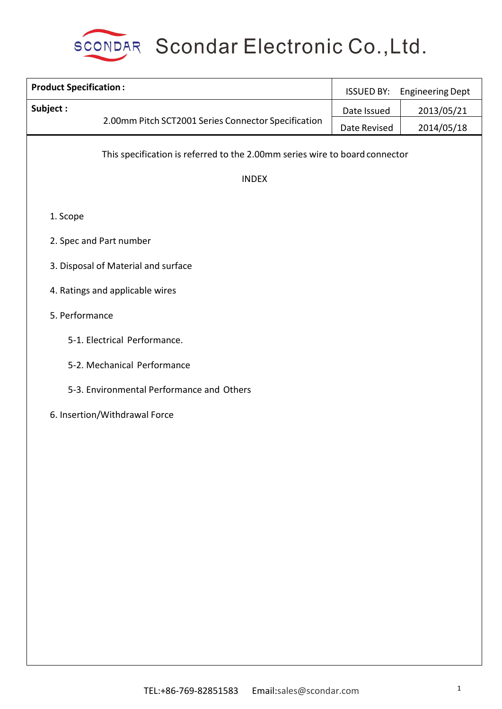

| <b>Product Specification:</b>                                               | <b>ISSUED BY:</b> | <b>Engineering Dept</b> |
|-----------------------------------------------------------------------------|-------------------|-------------------------|
| Subject:                                                                    | Date Issued       | 2013/05/21              |
| 2.00mm Pitch SCT2001 Series Connector Specification                         | Date Revised      | 2014/05/18              |
| This specification is referred to the 2.00mm series wire to board connector |                   |                         |
| <b>INDEX</b>                                                                |                   |                         |
| 1. Scope                                                                    |                   |                         |
| 2. Spec and Part number                                                     |                   |                         |
| 3. Disposal of Material and surface                                         |                   |                         |
| 4. Ratings and applicable wires                                             |                   |                         |
| 5. Performance                                                              |                   |                         |
| 5-1. Electrical Performance.                                                |                   |                         |
| 5-2. Mechanical Performance                                                 |                   |                         |
| 5-3. Environmental Performance and Others                                   |                   |                         |
| 6. Insertion/Withdrawal Force                                               |                   |                         |
|                                                                             |                   |                         |
|                                                                             |                   |                         |
|                                                                             |                   |                         |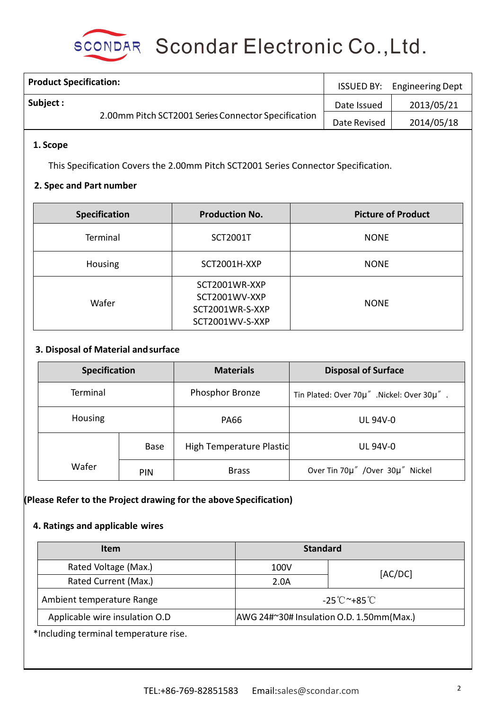

| <b>Product Specification:</b>                       | <b>ISSUED BY:</b> | <b>Engineering Dept</b> |
|-----------------------------------------------------|-------------------|-------------------------|
| Subject :                                           | Date Issued       | 2013/05/21              |
| 2.00mm Pitch SCT2001 Series Connector Specification | Date Revised      | 2014/05/18              |

### **1. Scope**

This Specification Covers the 2.00mm Pitch SCT2001 Series Connector Specification.

#### **2. Spec and Part number**

| <b>Specification</b> | <b>Production No.</b>                                                | <b>Picture of Product</b> |
|----------------------|----------------------------------------------------------------------|---------------------------|
| Terminal             | <b>SCT2001T</b>                                                      | <b>NONE</b>               |
| Housing              | SCT2001H-XXP                                                         | <b>NONE</b>               |
| Wafer                | SCT2001WR-XXP<br>SCT2001WV-XXP<br>SCT2001WR-S-XXP<br>SCT2001WV-S-XXP | <b>NONE</b>               |

### **3. Disposal of Material andsurface**

| <b>Specification</b> |             | <b>Materials</b>         | <b>Disposal of Surface</b>                |
|----------------------|-------------|--------------------------|-------------------------------------------|
| Terminal             |             | <b>Phosphor Bronze</b>   | Tin Plated: Over 70µ" .Nickel: Over 30µ". |
| Housing              |             | <b>PA66</b>              | <b>UL 94V-0</b>                           |
|                      | <b>Base</b> | High Temperature Plastic | <b>UL 94V-0</b>                           |
| Wafer<br><b>PIN</b>  |             | <b>Brass</b>             | Over Tin 70µ" /Over 30µ" Nickel           |

#### **(Please Refer to the Project drawing for the above Specification)**

#### **4. Ratings and applicable wires**

| <b>Standard</b><br><b>Item</b> |                                          |  |  |
|--------------------------------|------------------------------------------|--|--|
| 100V                           | [AC/DC]                                  |  |  |
| 2.0A                           |                                          |  |  |
|                                | -25℃~+85℃                                |  |  |
|                                | AWG 24#~30# Insulation O.D. 1.50mm(Max.) |  |  |
|                                |                                          |  |  |

\*Including terminal temperature rise.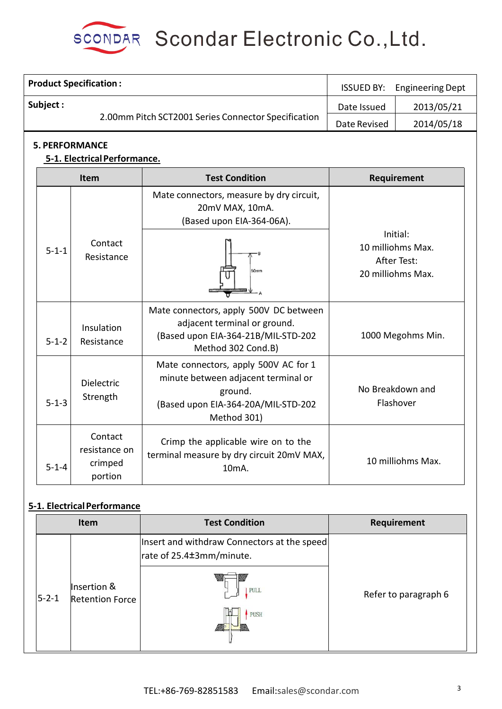

| <b>Product Specification:</b> |                                                       |                                                                                                                                              | <b>ISSUED BY:</b>                                                                                                       | <b>Engineering Dept</b> |
|-------------------------------|-------------------------------------------------------|----------------------------------------------------------------------------------------------------------------------------------------------|-------------------------------------------------------------------------------------------------------------------------|-------------------------|
| Subject:                      |                                                       |                                                                                                                                              | 2013/05/21<br>Date Issued                                                                                               |                         |
|                               | 2.00mm Pitch SCT2001 Series Connector Specification   | Date Revised                                                                                                                                 | 2014/05/18                                                                                                              |                         |
|                               | <b>5. PERFORMANCE</b><br>5-1. Electrical Performance. |                                                                                                                                              |                                                                                                                         |                         |
|                               | Item                                                  | <b>Test Condition</b>                                                                                                                        |                                                                                                                         | Requirement             |
|                               |                                                       | Mate connectors, measure by dry circuit,<br>20mV MAX, 10mA.<br>(Based upon EIA-364-06A).                                                     | Initial:<br>10 milliohms Max.<br>After Test:<br>20 milliohms Max.<br>1000 Megohms Min.<br>No Breakdown and<br>Flashover |                         |
| $5 - 1 - 1$                   | Contact<br>Resistance                                 | 50mm                                                                                                                                         |                                                                                                                         |                         |
| $5 - 1 - 2$                   | Insulation<br>Resistance                              | Mate connectors, apply 500V DC between<br>adjacent terminal or ground.<br>(Based upon EIA-364-21B/MIL-STD-202<br>Method 302 Cond.B)          |                                                                                                                         |                         |
| $5 - 1 - 3$                   | Dielectric<br>Strength                                | Mate connectors, apply 500V AC for 1<br>minute between adjacent terminal or<br>ground.<br>(Based upon EIA-364-20A/MIL-STD-202<br>Method 301) |                                                                                                                         |                         |
| $5 - 1 - 4$                   | Contact<br>resistance on<br>crimped<br>portion        | Crimp the applicable wire on to the<br>terminal measure by dry circuit 20mV MAX,<br>10 <sub>m</sub> A.                                       |                                                                                                                         | 10 milliohms Max.       |

## **5-1. ElectricalPerformance**

| Item        |                                | <b>Test Condition</b>                                                   | Requirement          |
|-------------|--------------------------------|-------------------------------------------------------------------------|----------------------|
|             |                                | Insert and withdraw Connectors at the speed<br>rate of 25.4±3mm/minute. |                      |
| $5 - 2 - 1$ | Insertion &<br>Retention Force | <b>PULL</b>                                                             | Refer to paragraph 6 |
|             |                                | <b>PUSH</b>                                                             |                      |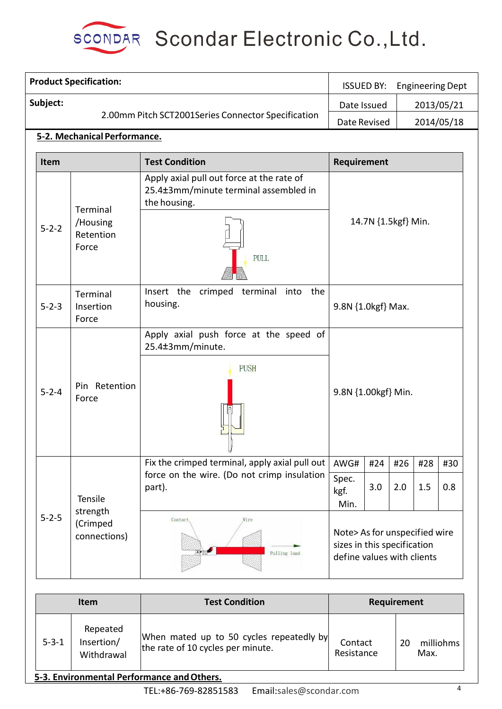

|             | <b>Product Specification:</b> | <b>ISSUED BY:</b><br><b>Engineering Dept</b>    |                                                                                                            |                                                                                            |                     |     |     |            |
|-------------|-------------------------------|-------------------------------------------------|------------------------------------------------------------------------------------------------------------|--------------------------------------------------------------------------------------------|---------------------|-----|-----|------------|
|             | Subject:                      |                                                 |                                                                                                            | Date Issued                                                                                |                     |     |     | 2013/05/21 |
|             |                               |                                                 | 2.00mm Pitch SCT2001Series Connector Specification                                                         | Date Revised                                                                               |                     |     |     | 2014/05/18 |
|             |                               | 5-2. Mechanical Performance.                    |                                                                                                            |                                                                                            |                     |     |     |            |
|             | <b>Item</b>                   |                                                 | <b>Test Condition</b>                                                                                      | Requirement                                                                                |                     |     |     |            |
|             | $5 - 2 - 2$                   | Terminal<br>/Housing<br>Retention<br>Force      | Apply axial pull out force at the rate of<br>25.4±3mm/minute terminal assembled in<br>the housing.<br>PULL | 14.7N {1.5kgf} Min.                                                                        |                     |     |     |            |
|             | $5 - 2 - 3$                   | Terminal<br>Insertion<br>Force                  | Insert the crimped terminal into the<br>housing.                                                           | 9.8N {1.0kgf} Max.                                                                         |                     |     |     |            |
|             | $5 - 2 - 4$                   | Pin Retention<br>Force                          | Apply axial push force at the speed of<br>25.4±3mm/minute.<br><b>PUSH</b>                                  |                                                                                            | 9.8N {1.00kgf} Min. |     |     |            |
|             |                               |                                                 | Fix the crimped terminal, apply axial pull out                                                             | AWG#                                                                                       | #24                 | #26 | #28 | #30        |
|             |                               | Tensile<br>strength<br>(Crimped<br>connections) | force on the wire. (Do not crimp insulation<br>part).                                                      | Spec.<br>kgf.<br>Min.                                                                      | 3.0                 | 2.0 | 1.5 | 0.8        |
| $5 - 2 - 5$ |                               |                                                 | Contact<br>Pulling load                                                                                    | Note> As for unspecified wire<br>sizes in this specification<br>define values with clients |                     |     |     |            |

| <b>Item</b> |                                      | <b>Test Condition</b>                                                         | Requirement           |                         |  |
|-------------|--------------------------------------|-------------------------------------------------------------------------------|-----------------------|-------------------------|--|
| $5 - 3 - 1$ | Repeated<br>Insertion/<br>Withdrawal | When mated up to 50 cycles repeatedly by<br>the rate of 10 cycles per minute. | Contact<br>Resistance | milliohms<br>20<br>Max. |  |

# **5-3. Environmental Performance andOthers.**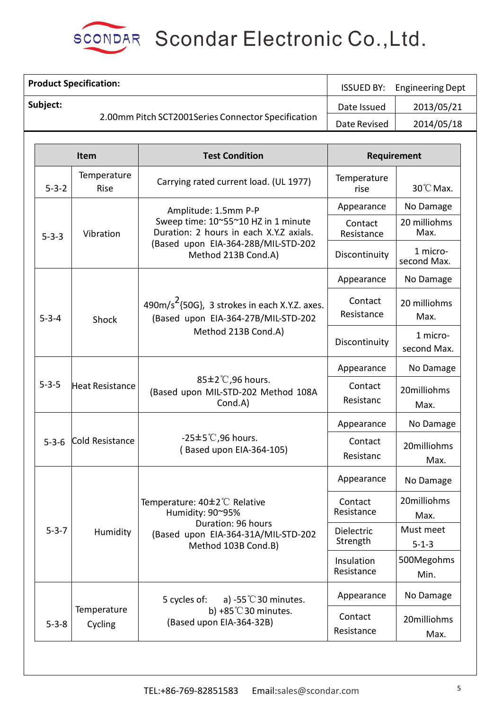

|             | <b>Product Specification:</b>                                                                            | <b>ISSUED BY:</b>                                                                | <b>Engineering Dept</b>  |                          |
|-------------|----------------------------------------------------------------------------------------------------------|----------------------------------------------------------------------------------|--------------------------|--------------------------|
| Subject:    |                                                                                                          |                                                                                  | Date Issued              | 2013/05/21               |
|             |                                                                                                          | 2.00mm Pitch SCT2001Series Connector Specification                               | Date Revised             | 2014/05/18               |
|             |                                                                                                          |                                                                                  |                          |                          |
|             | Item                                                                                                     | <b>Test Condition</b>                                                            |                          | Requirement              |
| $5 - 3 - 2$ | Temperature<br>Rise                                                                                      | Carrying rated current load. (UL 1977)                                           | Temperature<br>rise      | 30°C Max.                |
|             |                                                                                                          | Amplitude: 1.5mm P-P                                                             | Appearance               | No Damage                |
| $5 - 3 - 3$ | Vibration                                                                                                | Sweep time: 10~55~10 HZ in 1 minute<br>Duration: 2 hours in each X.Y.Z axials.   | Contact<br>Resistance    | 20 milliohms<br>Max.     |
|             |                                                                                                          | (Based upon EIA-364-28B/MIL-STD-202<br>Method 213B Cond.A)                       | Discontinuity            | 1 micro-<br>second Max.  |
|             |                                                                                                          |                                                                                  | Appearance               | No Damage                |
| $5 - 3 - 4$ | $490 \text{m/s}^2$ {50G}, 3 strokes in each X.Y.Z. axes.<br>(Based upon EIA-364-27B/MIL-STD-202<br>Shock | Contact<br>Resistance                                                            | 20 milliohms<br>Max.     |                          |
|             | Method 213B Cond.A)                                                                                      |                                                                                  | Discontinuity            | 1 micro-<br>second Max.  |
|             |                                                                                                          |                                                                                  | Appearance               | No Damage                |
| $5 - 3 - 5$ | Heat Resistance                                                                                          | 85±2°C,96 hours.<br>(Based upon MIL-STD-202 Method 108A<br>Cond.A)               | Contact<br>Resistanc     | 20milliohms<br>Max.      |
|             |                                                                                                          |                                                                                  | Appearance               | No Damage                |
| $5 - 3 - 6$ | Cold Resistance                                                                                          | $-25\pm5^{\circ}$ C,96 hours.<br>(Based upon EIA-364-105)                        | Contact<br>Resistanc     | 20milliohms<br>Max.      |
|             |                                                                                                          |                                                                                  | Appearance               | No Damage                |
|             |                                                                                                          | Temperature: 40±2°C Relative<br>Humidity: 90~95%                                 | Contact<br>Resistance    | 20milliohms<br>Max.      |
| $5 - 3 - 7$ | Humidity                                                                                                 | Duration: 96 hours<br>(Based upon EIA-364-31A/MIL-STD-202<br>Method 103B Cond.B) | Dielectric<br>Strength   | Must meet<br>$5 - 1 - 3$ |
|             |                                                                                                          |                                                                                  | Insulation<br>Resistance | 500Megohms<br>Min.       |
|             |                                                                                                          | 5 cycles of:<br>a) -55 $\degree$ C 30 minutes.                                   | Appearance               | No Damage                |
| $5 - 3 - 8$ | Temperature<br>Cycling                                                                                   | b) +85 $°C$ 30 minutes.<br>(Based upon EIA-364-32B)                              | Contact<br>Resistance    | 20milliohms<br>Max.      |